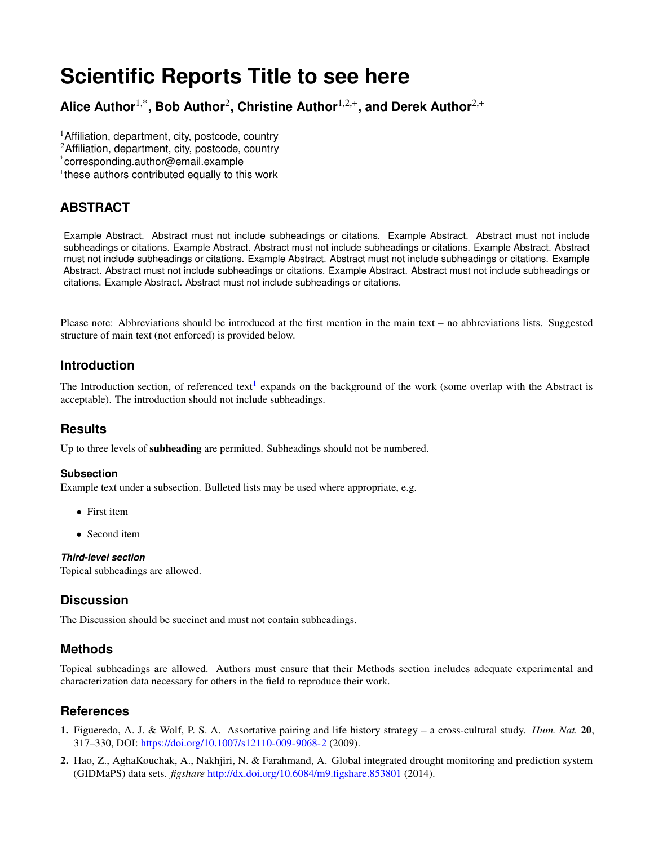# **Scientific Reports Title to see here**

**Alice Author**1,\***, Bob Author**<sup>2</sup> **, Christine Author**1,2,+**, and Derek Author**2,+

<sup>1</sup> Affiliation, department, city, postcode, country

- <sup>2</sup>Affiliation, department, city, postcode, country
- \*corresponding.author@email.example

+ these authors contributed equally to this work

# **ABSTRACT**

Example Abstract. Abstract must not include subheadings or citations. Example Abstract. Abstract must not include subheadings or citations. Example Abstract. Abstract must not include subheadings or citations. Example Abstract. Abstract must not include subheadings or citations. Example Abstract. Abstract must not include subheadings or citations. Example Abstract. Abstract must not include subheadings or citations. Example Abstract. Abstract must not include subheadings or citations. Example Abstract. Abstract must not include subheadings or citations.

Please note: Abbreviations should be introduced at the first mention in the main text – no abbreviations lists. Suggested structure of main text (not enforced) is provided below.

### **Introduction**

The Introduction section, of referenced text<sup>[1](#page-0-0)</sup> expands on the background of the work (some overlap with the Abstract is acceptable). The introduction should not include subheadings.

#### **Results**

Up to three levels of subheading are permitted. Subheadings should not be numbered.

#### **Subsection**

Example text under a subsection. Bulleted lists may be used where appropriate, e.g.

- First item
- Second item

#### *Third-level section*

Topical subheadings are allowed.

## **Discussion**

The Discussion should be succinct and must not contain subheadings.

#### **Methods**

Topical subheadings are allowed. Authors must ensure that their Methods section includes adequate experimental and characterization data necessary for others in the field to reproduce their work.

#### **References**

- <span id="page-0-0"></span>1. Figueredo, A. J. & Wolf, P. S. A. Assortative pairing and life history strategy – a cross-cultural study. *Hum. Nat.* 20, 317–330, DOI: <https://doi.org/10.1007/s12110-009-9068-2> (2009).
- <span id="page-0-1"></span>2. Hao, Z., AghaKouchak, A., Nakhjiri, N. & Farahmand, A. Global integrated drought monitoring and prediction system (GIDMaPS) data sets. *figshare* <http://dx.doi.org/10.6084/m9.figshare.853801> (2014).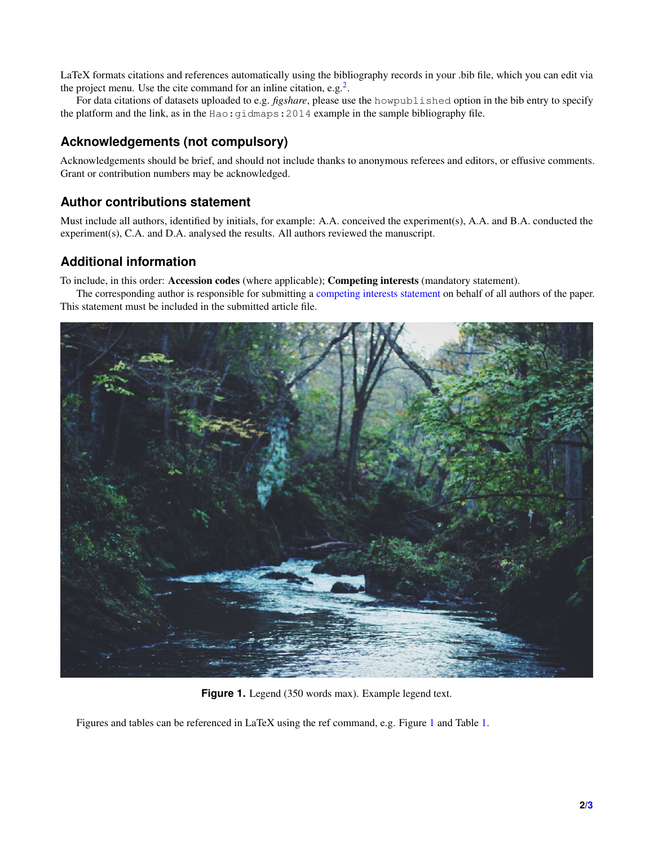LaTeX formats citations and references automatically using the bibliography records in your .bib file, which you can edit via the project menu. Use the cite command for an inline citation, e.g.<sup>[2](#page-0-1)</sup>.

For data citations of datasets uploaded to e.g. *figshare*, please use the howpublished option in the bib entry to specify the platform and the link, as in the Hao: gidmaps: 2014 example in the sample bibliography file.

## **Acknowledgements (not compulsory)**

Acknowledgements should be brief, and should not include thanks to anonymous referees and editors, or effusive comments. Grant or contribution numbers may be acknowledged.

# **Author contributions statement**

Must include all authors, identified by initials, for example: A.A. conceived the experiment(s), A.A. and B.A. conducted the experiment(s), C.A. and D.A. analysed the results. All authors reviewed the manuscript.

# **Additional information**

To include, in this order: Accession codes (where applicable); Competing interests (mandatory statement).

The corresponding author is responsible for submitting a [competing interests statement](http://www.nature.com/srep/policies/index.html#competing) on behalf of all authors of the paper. This statement must be included in the submitted article file.

<span id="page-1-0"></span>

Figure 1. Legend (350 words max). Example legend text.

Figures and tables can be referenced in LaTeX using the ref command, e.g. Figure [1](#page-1-0) and Table [1.](#page-2-0)